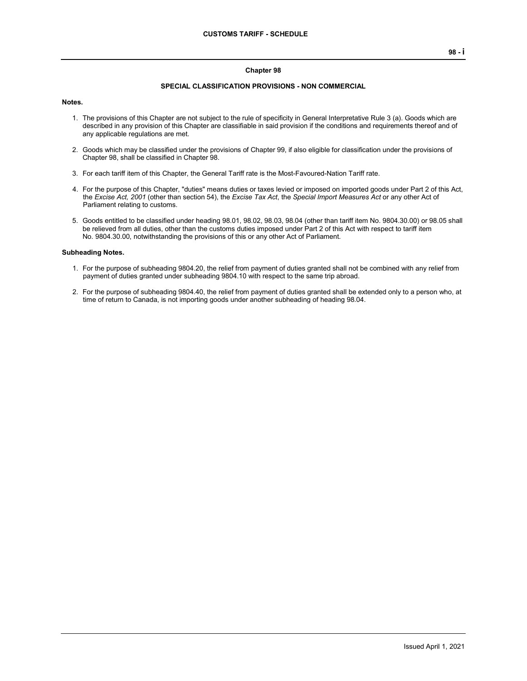#### **Chapter 98**

#### **SPECIAL CLASSIFICATION PROVISIONS - NON COMMERCIAL**

#### **Notes.**

- 1. The provisions of this Chapter are not subject to the rule of specificity in General Interpretative Rule 3 (a). Goods which are described in any provision of this Chapter are classifiable in said provision if the conditions and requirements thereof and of any applicable regulations are met.
- 2. Goods which may be classified under the provisions of Chapter 99, if also eligible for classification under the provisions of Chapter 98, shall be classified in Chapter 98.
- 3. For each tariff item of this Chapter, the General Tariff rate is the Most-Favoured-Nation Tariff rate.
- 4. For the purpose of this Chapter, "duties" means duties or taxes levied or imposed on imported goods under Part 2 of this Act, the *Excise Act, 2001* (other than section 54), the *Excise Tax Act*, the *Special Import Measures Act* or any other Act of Parliament relating to customs.
- 5. Goods entitled to be classified under heading 98.01, 98.02, 98.03, 98.04 (other than tariff item No. 9804.30.00) or 98.05 shall be relieved from all duties, other than the customs duties imposed under Part 2 of this Act with respect to tariff item No. 9804.30.00, notwithstanding the provisions of this or any other Act of Parliament.

#### **Subheading Notes.**

- 1. For the purpose of subheading 9804.20, the relief from payment of duties granted shall not be combined with any relief from payment of duties granted under subheading 9804.10 with respect to the same trip abroad.
- 2. For the purpose of subheading 9804.40, the relief from payment of duties granted shall be extended only to a person who, at time of return to Canada, is not importing goods under another subheading of heading 98.04.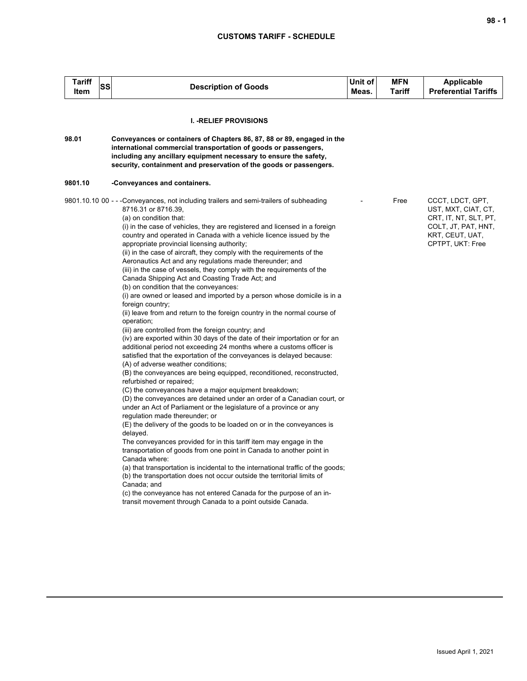| I<br>I<br>۰.<br>×<br>۰.<br>., |  |  |
|-------------------------------|--|--|
|-------------------------------|--|--|

| <b>Description of Goods</b>                                                                                                                                                                                                                                                                                                                                                                                                                                                                                                                                                                                                                                                                                                                                                                                                                                                                                                                                                                                                                                                                                                                                                                                                                                                                                                                                                                                                                                                                                                                                                                                                                                                                                                                                                                                                                                                                                                                                                                                   | Unit of<br>Meas.                                                                             | <b>MFN</b><br>Tariff | <b>Applicable</b><br><b>Preferential Tariffs</b>                                                                               |
|---------------------------------------------------------------------------------------------------------------------------------------------------------------------------------------------------------------------------------------------------------------------------------------------------------------------------------------------------------------------------------------------------------------------------------------------------------------------------------------------------------------------------------------------------------------------------------------------------------------------------------------------------------------------------------------------------------------------------------------------------------------------------------------------------------------------------------------------------------------------------------------------------------------------------------------------------------------------------------------------------------------------------------------------------------------------------------------------------------------------------------------------------------------------------------------------------------------------------------------------------------------------------------------------------------------------------------------------------------------------------------------------------------------------------------------------------------------------------------------------------------------------------------------------------------------------------------------------------------------------------------------------------------------------------------------------------------------------------------------------------------------------------------------------------------------------------------------------------------------------------------------------------------------------------------------------------------------------------------------------------------------|----------------------------------------------------------------------------------------------|----------------------|--------------------------------------------------------------------------------------------------------------------------------|
| <b>I. - RELIEF PROVISIONS</b>                                                                                                                                                                                                                                                                                                                                                                                                                                                                                                                                                                                                                                                                                                                                                                                                                                                                                                                                                                                                                                                                                                                                                                                                                                                                                                                                                                                                                                                                                                                                                                                                                                                                                                                                                                                                                                                                                                                                                                                 |                                                                                              |                      |                                                                                                                                |
| Conveyances or containers of Chapters 86, 87, 88 or 89, engaged in the<br>international commercial transportation of goods or passengers,<br>including any ancillary equipment necessary to ensure the safety,<br>security, containment and preservation of the goods or passengers.                                                                                                                                                                                                                                                                                                                                                                                                                                                                                                                                                                                                                                                                                                                                                                                                                                                                                                                                                                                                                                                                                                                                                                                                                                                                                                                                                                                                                                                                                                                                                                                                                                                                                                                          |                                                                                              |                      |                                                                                                                                |
| -Conveyances and containers.                                                                                                                                                                                                                                                                                                                                                                                                                                                                                                                                                                                                                                                                                                                                                                                                                                                                                                                                                                                                                                                                                                                                                                                                                                                                                                                                                                                                                                                                                                                                                                                                                                                                                                                                                                                                                                                                                                                                                                                  |                                                                                              |                      |                                                                                                                                |
| 8716.31 or 8716.39,<br>(a) on condition that:<br>(i) in the case of vehicles, they are registered and licensed in a foreign<br>country and operated in Canada with a vehicle licence issued by the<br>appropriate provincial licensing authority;<br>(ii) in the case of aircraft, they comply with the requirements of the<br>Aeronautics Act and any regulations made thereunder; and<br>(iii) in the case of vessels, they comply with the requirements of the<br>Canada Shipping Act and Coasting Trade Act; and<br>(b) on condition that the conveyances:<br>(i) are owned or leased and imported by a person whose domicile is in a<br>foreign country;<br>(ii) leave from and return to the foreign country in the normal course of<br>operation;<br>(iii) are controlled from the foreign country; and<br>(iv) are exported within 30 days of the date of their importation or for an<br>additional period not exceeding 24 months where a customs officer is<br>satisfied that the exportation of the conveyances is delayed because:<br>(A) of adverse weather conditions;<br>(B) the conveyances are being equipped, reconditioned, reconstructed,<br>refurbished or repaired;<br>(C) the conveyances have a major equipment breakdown;<br>(D) the conveyances are detained under an order of a Canadian court, or<br>under an Act of Parliament or the legislature of a province or any<br>regulation made thereunder; or<br>(E) the delivery of the goods to be loaded on or in the conveyances is<br>delayed.<br>The conveyances provided for in this tariff item may engage in the<br>transportation of goods from one point in Canada to another point in<br>Canada where:<br>(a) that transportation is incidental to the international traffic of the goods;<br>(b) the transportation does not occur outside the territorial limits of<br>Canada; and<br>(c) the conveyance has not entered Canada for the purpose of an in-<br>transit movement through Canada to a point outside Canada. |                                                                                              | Free                 | CCCT, LDCT, GPT,<br>UST, MXT, CIAT, CT,<br>CRT, IT, NT, SLT, PT,<br>COLT, JT, PAT, HNT,<br>KRT, CEUT, UAT,<br>CPTPT, UKT: Free |
|                                                                                                                                                                                                                                                                                                                                                                                                                                                                                                                                                                                                                                                                                                                                                                                                                                                                                                                                                                                                                                                                                                                                                                                                                                                                                                                                                                                                                                                                                                                                                                                                                                                                                                                                                                                                                                                                                                                                                                                                               | SS<br>9801.10.10 00 - - -Conveyances, not including trailers and semi-trailers of subheading |                      |                                                                                                                                |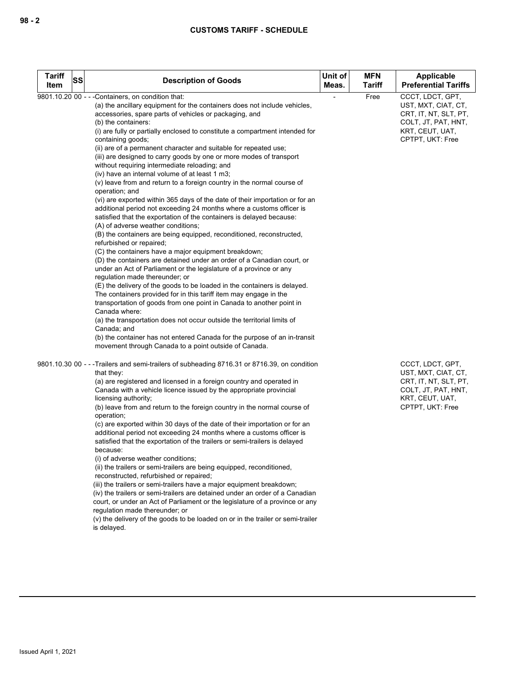| <b>Tariff</b> | <b>SS</b> | <b>Description of Goods</b>                                                                                                                                                                                                                                                                                                                                                                                                                                                                                                                                                                                                                                                                                                                                                                                                                                                                                                                                                                                                                                                                                                                                                                                                                                                                                                                                                                                                                                                                                                                                                                                                                                                                                                                                     | Unit of | <b>MFN</b> | Applicable                                                                                                                     |
|---------------|-----------|-----------------------------------------------------------------------------------------------------------------------------------------------------------------------------------------------------------------------------------------------------------------------------------------------------------------------------------------------------------------------------------------------------------------------------------------------------------------------------------------------------------------------------------------------------------------------------------------------------------------------------------------------------------------------------------------------------------------------------------------------------------------------------------------------------------------------------------------------------------------------------------------------------------------------------------------------------------------------------------------------------------------------------------------------------------------------------------------------------------------------------------------------------------------------------------------------------------------------------------------------------------------------------------------------------------------------------------------------------------------------------------------------------------------------------------------------------------------------------------------------------------------------------------------------------------------------------------------------------------------------------------------------------------------------------------------------------------------------------------------------------------------|---------|------------|--------------------------------------------------------------------------------------------------------------------------------|
| Item          |           |                                                                                                                                                                                                                                                                                                                                                                                                                                                                                                                                                                                                                                                                                                                                                                                                                                                                                                                                                                                                                                                                                                                                                                                                                                                                                                                                                                                                                                                                                                                                                                                                                                                                                                                                                                 | Meas.   | Tariff     | <b>Preferential Tariffs</b>                                                                                                    |
|               |           | 9801.10.20 00 - - - Containers, on condition that:<br>(a) the ancillary equipment for the containers does not include vehicles,<br>accessories, spare parts of vehicles or packaging, and<br>(b) the containers:<br>(i) are fully or partially enclosed to constitute a compartment intended for<br>containing goods;<br>(ii) are of a permanent character and suitable for repeated use;<br>(iii) are designed to carry goods by one or more modes of transport<br>without requiring intermediate reloading; and<br>(iv) have an internal volume of at least 1 m3;<br>$(v)$ leave from and return to a foreign country in the normal course of<br>operation; and<br>(vi) are exported within 365 days of the date of their importation or for an<br>additional period not exceeding 24 months where a customs officer is<br>satisfied that the exportation of the containers is delayed because:<br>(A) of adverse weather conditions;<br>(B) the containers are being equipped, reconditioned, reconstructed,<br>refurbished or repaired;<br>(C) the containers have a major equipment breakdown;<br>(D) the containers are detained under an order of a Canadian court, or<br>under an Act of Parliament or the legislature of a province or any<br>regulation made thereunder; or<br>(E) the delivery of the goods to be loaded in the containers is delayed.<br>The containers provided for in this tariff item may engage in the<br>transportation of goods from one point in Canada to another point in<br>Canada where:<br>(a) the transportation does not occur outside the territorial limits of<br>Canada; and<br>(b) the container has not entered Canada for the purpose of an in-transit<br>movement through Canada to a point outside of Canada. |         | Free       | CCCT, LDCT, GPT,<br>UST, MXT, CIAT, CT,<br>CRT, IT, NT, SLT, PT,<br>COLT, JT, PAT, HNT,<br>KRT, CEUT, UAT,<br>CPTPT, UKT: Free |
|               |           | 9801.10.30 00 - - - Trailers and semi-trailers of subheading 8716.31 or 8716.39, on condition<br>that they:<br>(a) are registered and licensed in a foreign country and operated in<br>Canada with a vehicle licence issued by the appropriate provincial<br>licensing authority;<br>(b) leave from and return to the foreign country in the normal course of<br>operation;<br>(c) are exported within 30 days of the date of their importation or for an<br>additional period not exceeding 24 months where a customs officer is<br>satisfied that the exportation of the trailers or semi-trailers is delayed<br>because:<br>(i) of adverse weather conditions;<br>(ii) the trailers or semi-trailers are being equipped, reconditioned,<br>reconstructed, refurbished or repaired;<br>(iii) the trailers or semi-trailers have a major equipment breakdown;<br>(iv) the trailers or semi-trailers are detained under an order of a Canadian<br>court, or under an Act of Parliament or the legislature of a province or any<br>regulation made thereunder; or<br>(v) the delivery of the goods to be loaded on or in the trailer or semi-trailer<br>is delayed.                                                                                                                                                                                                                                                                                                                                                                                                                                                                                                                                                                                              |         |            | CCCT, LDCT, GPT,<br>UST, MXT, CIAT, CT,<br>CRT, IT, NT, SLT, PT,<br>COLT, JT, PAT, HNT,<br>KRT, CEUT, UAT,<br>CPTPT, UKT: Free |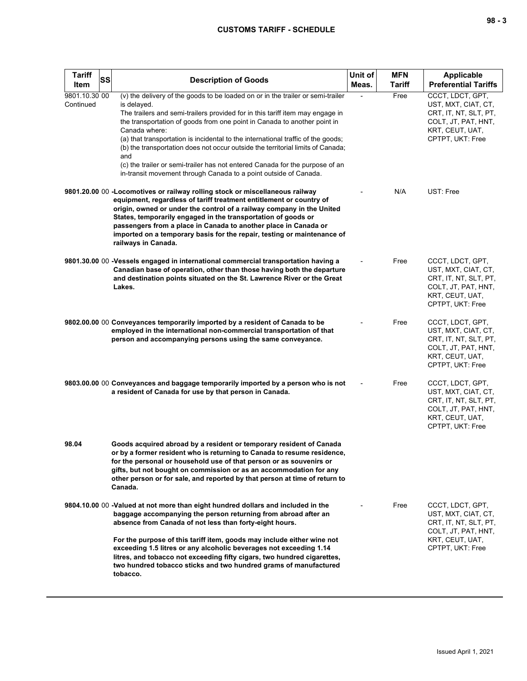| <b>Tariff</b><br>SS<br>Item | <b>Description of Goods</b>                                                                                                                                                                                                                                                                                                                                                                                                                                                                                                                                                                                    | Unit of<br>Meas. | <b>MFN</b><br>Tariff | <b>Applicable</b><br><b>Preferential Tariffs</b>                                                                               |
|-----------------------------|----------------------------------------------------------------------------------------------------------------------------------------------------------------------------------------------------------------------------------------------------------------------------------------------------------------------------------------------------------------------------------------------------------------------------------------------------------------------------------------------------------------------------------------------------------------------------------------------------------------|------------------|----------------------|--------------------------------------------------------------------------------------------------------------------------------|
| 9801.10.30 00<br>Continued  | (v) the delivery of the goods to be loaded on or in the trailer or semi-trailer<br>is delayed.<br>The trailers and semi-trailers provided for in this tariff item may engage in<br>the transportation of goods from one point in Canada to another point in<br>Canada where:<br>(a) that transportation is incidental to the international traffic of the goods;<br>(b) the transportation does not occur outside the territorial limits of Canada;<br>and<br>(c) the trailer or semi-trailer has not entered Canada for the purpose of an<br>in-transit movement through Canada to a point outside of Canada. |                  | Free                 | CCCT, LDCT, GPT,<br>UST, MXT, CIAT, CT,<br>CRT, IT, NT, SLT, PT,<br>COLT, JT, PAT, HNT,<br>KRT, CEUT, UAT,<br>CPTPT, UKT: Free |
|                             | 9801.20.00 00 - Locomotives or railway rolling stock or miscellaneous railway<br>equipment, regardless of tariff treatment entitlement or country of<br>origin, owned or under the control of a railway company in the United<br>States, temporarily engaged in the transportation of goods or<br>passengers from a place in Canada to another place in Canada or<br>imported on a temporary basis for the repair, testing or maintenance of<br>railways in Canada.                                                                                                                                            |                  | N/A                  | UST: Free                                                                                                                      |
|                             | 9801.30.00 00 -Vessels engaged in international commercial transportation having a<br>Canadian base of operation, other than those having both the departure<br>and destination points situated on the St. Lawrence River or the Great<br>Lakes.                                                                                                                                                                                                                                                                                                                                                               |                  | Free                 | CCCT, LDCT, GPT,<br>UST, MXT, CIAT, CT,<br>CRT, IT, NT, SLT, PT,<br>COLT, JT, PAT, HNT,<br>KRT, CEUT, UAT,<br>CPTPT, UKT: Free |
|                             | 9802.00.00 00 Conveyances temporarily imported by a resident of Canada to be<br>employed in the international non-commercial transportation of that<br>person and accompanying persons using the same conveyance.                                                                                                                                                                                                                                                                                                                                                                                              |                  | Free                 | CCCT, LDCT, GPT,<br>UST, MXT, CIAT, CT,<br>CRT, IT, NT, SLT, PT,<br>COLT, JT, PAT, HNT,<br>KRT, CEUT, UAT,<br>CPTPT, UKT: Free |
|                             | 9803.00.00 00 Conveyances and baggage temporarily imported by a person who is not<br>a resident of Canada for use by that person in Canada.                                                                                                                                                                                                                                                                                                                                                                                                                                                                    |                  | Free                 | CCCT, LDCT, GPT,<br>UST, MXT, CIAT, CT,<br>CRT, IT, NT, SLT, PT,<br>COLT, JT, PAT, HNT,<br>KRT, CEUT, UAT,<br>CPTPT, UKT: Free |
| 98.04                       | Goods acquired abroad by a resident or temporary resident of Canada<br>or by a former resident who is returning to Canada to resume residence,<br>for the personal or household use of that person or as souvenirs or<br>gifts, but not bought on commission or as an accommodation for any<br>other person or for sale, and reported by that person at time of return to<br>Canada.                                                                                                                                                                                                                           |                  |                      |                                                                                                                                |
|                             | 9804.10.00 00 -Valued at not more than eight hundred dollars and included in the<br>baggage accompanying the person returning from abroad after an<br>absence from Canada of not less than forty-eight hours.<br>For the purpose of this tariff item, goods may include either wine not<br>exceeding 1.5 litres or any alcoholic beverages not exceeding 1.14                                                                                                                                                                                                                                                  |                  | Free                 | CCCT, LDCT, GPT,<br>UST, MXT, CIAT, CT,<br>CRT, IT, NT, SLT, PT,<br>COLT, JT, PAT, HNT,<br>KRT, CEUT, UAT,<br>CPTPT, UKT: Free |
|                             | litres, and tobacco not exceeding fifty cigars, two hundred cigarettes,<br>two hundred tobacco sticks and two hundred grams of manufactured<br>tobacco.                                                                                                                                                                                                                                                                                                                                                                                                                                                        |                  |                      |                                                                                                                                |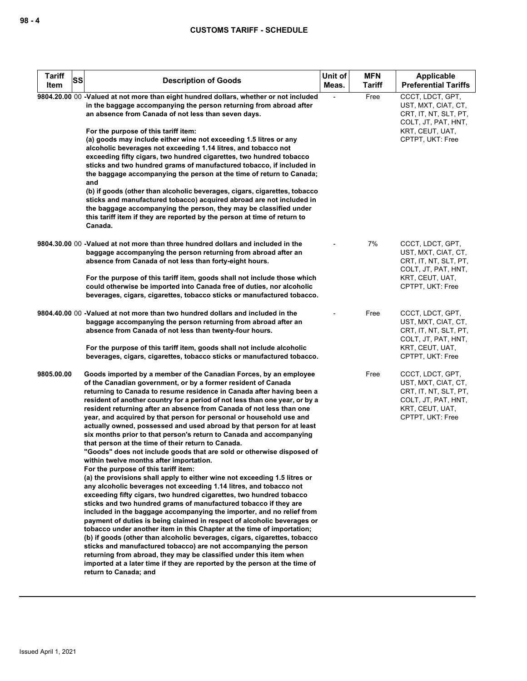| <b>Tariff</b><br>SS<br>Item | <b>Description of Goods</b>                                                                                                                                                                                                                                                                                                                                                                                                                                                                                                                                                                                                                                                                                                                                                                                                                                                                                                                                                                                                                                                                                                                                                                                                                                                                                                                                                                                                                                                                                                                                                                                                                                           | Unit of<br>Meas. | <b>MFN</b><br><b>Tariff</b> | Applicable<br><b>Preferential Tariffs</b>                                                                                      |
|-----------------------------|-----------------------------------------------------------------------------------------------------------------------------------------------------------------------------------------------------------------------------------------------------------------------------------------------------------------------------------------------------------------------------------------------------------------------------------------------------------------------------------------------------------------------------------------------------------------------------------------------------------------------------------------------------------------------------------------------------------------------------------------------------------------------------------------------------------------------------------------------------------------------------------------------------------------------------------------------------------------------------------------------------------------------------------------------------------------------------------------------------------------------------------------------------------------------------------------------------------------------------------------------------------------------------------------------------------------------------------------------------------------------------------------------------------------------------------------------------------------------------------------------------------------------------------------------------------------------------------------------------------------------------------------------------------------------|------------------|-----------------------------|--------------------------------------------------------------------------------------------------------------------------------|
|                             | 9804.20.00 00 -Valued at not more than eight hundred dollars, whether or not included<br>in the baggage accompanying the person returning from abroad after<br>an absence from Canada of not less than seven days.<br>For the purpose of this tariff item:<br>(a) goods may include either wine not exceeding 1.5 litres or any<br>alcoholic beverages not exceeding 1.14 litres, and tobacco not<br>exceeding fifty cigars, two hundred cigarettes, two hundred tobacco<br>sticks and two hundred grams of manufactured tobacco, if included in<br>the baggage accompanying the person at the time of return to Canada;<br>and<br>(b) if goods (other than alcoholic beverages, cigars, cigarettes, tobacco<br>sticks and manufactured tobacco) acquired abroad are not included in<br>the baggage accompanying the person, they may be classified under<br>this tariff item if they are reported by the person at time of return to<br>Canada.                                                                                                                                                                                                                                                                                                                                                                                                                                                                                                                                                                                                                                                                                                                      |                  | Free                        | CCCT, LDCT, GPT,<br>UST, MXT, CIAT, CT,<br>CRT, IT, NT, SLT, PT,<br>COLT, JT, PAT, HNT,<br>KRT, CEUT, UAT,<br>CPTPT, UKT: Free |
|                             | 9804.30.00 00 -Valued at not more than three hundred dollars and included in the<br>baggage accompanying the person returning from abroad after an<br>absence from Canada of not less than forty-eight hours.<br>For the purpose of this tariff item, goods shall not include those which<br>could otherwise be imported into Canada free of duties, nor alcoholic<br>beverages, cigars, cigarettes, tobacco sticks or manufactured tobacco.                                                                                                                                                                                                                                                                                                                                                                                                                                                                                                                                                                                                                                                                                                                                                                                                                                                                                                                                                                                                                                                                                                                                                                                                                          |                  | 7%                          | CCCT, LDCT, GPT,<br>UST, MXT, CIAT, CT,<br>CRT, IT, NT, SLT, PT,<br>COLT, JT, PAT, HNT,<br>KRT, CEUT, UAT,<br>CPTPT, UKT: Free |
|                             | 9804.40.00 00 -Valued at not more than two hundred dollars and included in the<br>baggage accompanying the person returning from abroad after an<br>absence from Canada of not less than twenty-four hours.<br>For the purpose of this tariff item, goods shall not include alcoholic<br>beverages, cigars, cigarettes, tobacco sticks or manufactured tobacco.                                                                                                                                                                                                                                                                                                                                                                                                                                                                                                                                                                                                                                                                                                                                                                                                                                                                                                                                                                                                                                                                                                                                                                                                                                                                                                       |                  | Free                        | CCCT, LDCT, GPT,<br>UST, MXT, CIAT, CT,<br>CRT, IT, NT, SLT, PT,<br>COLT, JT, PAT, HNT,<br>KRT, CEUT, UAT,<br>CPTPT, UKT: Free |
| 9805.00.00                  | Goods imported by a member of the Canadian Forces, by an employee<br>of the Canadian government, or by a former resident of Canada<br>returning to Canada to resume residence in Canada after having been a<br>resident of another country for a period of not less than one year, or by a<br>resident returning after an absence from Canada of not less than one<br>year, and acquired by that person for personal or household use and<br>actually owned, possessed and used abroad by that person for at least<br>six months prior to that person's return to Canada and accompanying<br>that person at the time of their return to Canada.<br>"Goods" does not include goods that are sold or otherwise disposed of<br>within twelve months after importation.<br>For the purpose of this tariff item:<br>(a) the provisions shall apply to either wine not exceeding 1.5 litres or<br>any alcoholic beverages not exceeding 1.14 litres, and tobacco not<br>exceeding fifty cigars, two hundred cigarettes, two hundred tobacco<br>sticks and two hundred grams of manufactured tobacco if they are<br>included in the baggage accompanying the importer, and no relief from<br>payment of duties is being claimed in respect of alcoholic beverages or<br>tobacco under another item in this Chapter at the time of importation;<br>(b) if goods (other than alcoholic beverages, cigars, cigarettes, tobacco<br>sticks and manufactured tobacco) are not accompanying the person<br>returning from abroad, they may be classified under this item when<br>imported at a later time if they are reported by the person at the time of<br>return to Canada; and |                  | Free                        | CCCT, LDCT, GPT,<br>UST, MXT, CIAT, CT,<br>CRT, IT, NT, SLT, PT,<br>COLT, JT, PAT, HNT,<br>KRT, CEUT, UAT,<br>CPTPT, UKT: Free |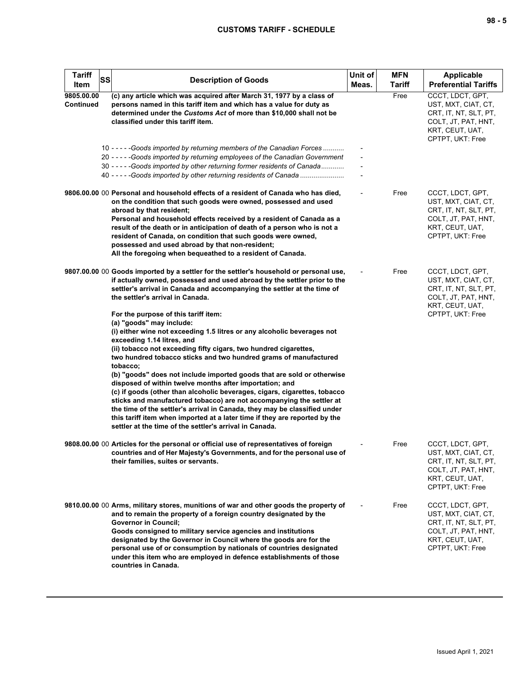| <b>Tariff</b><br>SS<br>Item | <b>Description of Goods</b>                                                                                                                                                                                                                                                                                                                                                                                                                                                                                                                                                                                                                                                                                                                                                                                                                   | Unit of<br>Meas. | <b>MFN</b><br>Tariff | Applicable<br><b>Preferential Tariffs</b>                                                                                      |
|-----------------------------|-----------------------------------------------------------------------------------------------------------------------------------------------------------------------------------------------------------------------------------------------------------------------------------------------------------------------------------------------------------------------------------------------------------------------------------------------------------------------------------------------------------------------------------------------------------------------------------------------------------------------------------------------------------------------------------------------------------------------------------------------------------------------------------------------------------------------------------------------|------------------|----------------------|--------------------------------------------------------------------------------------------------------------------------------|
| 9805.00.00<br>Continued     | (c) any article which was acquired after March 31, 1977 by a class of<br>persons named in this tariff item and which has a value for duty as<br>determined under the Customs Act of more than \$10,000 shall not be<br>classified under this tariff item.                                                                                                                                                                                                                                                                                                                                                                                                                                                                                                                                                                                     |                  | Free                 | CCCT, LDCT, GPT,<br>UST, MXT, CIAT, CT,<br>CRT, IT, NT, SLT, PT,<br>COLT, JT, PAT, HNT,<br>KRT, CEUT, UAT,<br>CPTPT, UKT: Free |
|                             | 10 - - - - - Goods imported by returning members of the Canadian Forces<br>20 - - - - - Goods imported by returning employees of the Canadian Government<br>30 - - - - - Goods imported by other returning former residents of Canada<br>40 - - - - - Goods imported by other returning residents of Canada                                                                                                                                                                                                                                                                                                                                                                                                                                                                                                                                   |                  |                      |                                                                                                                                |
|                             | 9806.00.00 00 Personal and household effects of a resident of Canada who has died,<br>on the condition that such goods were owned, possessed and used<br>abroad by that resident;<br>Personal and household effects received by a resident of Canada as a<br>result of the death or in anticipation of death of a person who is not a<br>resident of Canada, on condition that such goods were owned,<br>possessed and used abroad by that non-resident;<br>All the foregoing when bequeathed to a resident of Canada.                                                                                                                                                                                                                                                                                                                        |                  | Free                 | CCCT, LDCT, GPT,<br>UST, MXT, CIAT, CT,<br>CRT, IT, NT, SLT, PT,<br>COLT, JT, PAT, HNT,<br>KRT, CEUT, UAT,<br>CPTPT, UKT: Free |
|                             | 9807.00.00 00 Goods imported by a settler for the settler's household or personal use,<br>if actually owned, possessed and used abroad by the settler prior to the<br>settler's arrival in Canada and accompanying the settler at the time of<br>the settler's arrival in Canada.                                                                                                                                                                                                                                                                                                                                                                                                                                                                                                                                                             |                  | Free                 | CCCT, LDCT, GPT,<br>UST, MXT, CIAT, CT,<br>CRT, IT, NT, SLT, PT,<br>COLT, JT, PAT, HNT,<br>KRT, CEUT, UAT,<br>CPTPT, UKT: Free |
|                             | For the purpose of this tariff item:<br>(a) "goods" may include:<br>(i) either wine not exceeding 1.5 litres or any alcoholic beverages not<br>exceeding 1.14 litres, and<br>(ii) tobacco not exceeding fifty cigars, two hundred cigarettes,<br>two hundred tobacco sticks and two hundred grams of manufactured<br>tobacco;<br>(b) "goods" does not include imported goods that are sold or otherwise<br>disposed of within twelve months after importation; and<br>(c) if goods (other than alcoholic beverages, cigars, cigarettes, tobacco<br>sticks and manufactured tobacco) are not accompanying the settler at<br>the time of the settler's arrival in Canada, they may be classified under<br>this tariff item when imported at a later time if they are reported by the<br>settler at the time of the settler's arrival in Canada. |                  |                      |                                                                                                                                |
|                             | 9808.00.00 00 Articles for the personal or official use of representatives of foreign<br>countries and of Her Majesty's Governments, and for the personal use of<br>their families, suites or servants.                                                                                                                                                                                                                                                                                                                                                                                                                                                                                                                                                                                                                                       |                  | Free                 | CCCT, LDCT, GPT,<br>UST, MXT, CIAT, CT,<br>CRT, IT, NT, SLT, PT,<br>COLT, JT, PAT, HNT,<br>KRT, CEUT, UAT,<br>CPTPT, UKT: Free |
|                             | 9810.00.00 00 Arms, military stores, munitions of war and other goods the property of<br>and to remain the property of a foreign country designated by the<br><b>Governor in Council;</b><br>Goods consigned to military service agencies and institutions<br>designated by the Governor in Council where the goods are for the<br>personal use of or consumption by nationals of countries designated<br>under this item who are employed in defence establishments of those<br>countries in Canada.                                                                                                                                                                                                                                                                                                                                         |                  | Free                 | CCCT, LDCT, GPT,<br>UST, MXT, CIAT, CT,<br>CRT, IT, NT, SLT, PT,<br>COLT, JT, PAT, HNT,<br>KRT, CEUT, UAT,<br>CPTPT, UKT: Free |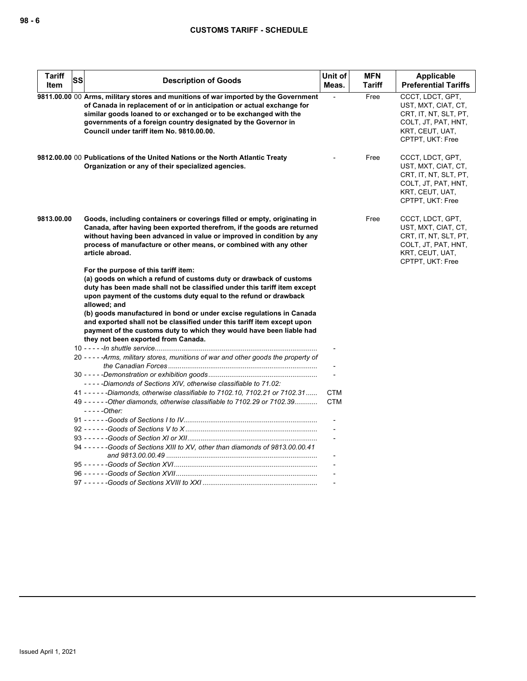| <b>Tariff</b><br>ltem | SS | <b>Description of Goods</b>                                                                                                                                                                                                                                                                                                                                                                                                                                                                                                                  | Unit of<br>Meas.         | <b>MFN</b><br><b>Tariff</b> | Applicable<br><b>Preferential Tariffs</b>                                                                                      |
|-----------------------|----|----------------------------------------------------------------------------------------------------------------------------------------------------------------------------------------------------------------------------------------------------------------------------------------------------------------------------------------------------------------------------------------------------------------------------------------------------------------------------------------------------------------------------------------------|--------------------------|-----------------------------|--------------------------------------------------------------------------------------------------------------------------------|
|                       |    | 9811.00.00 00 Arms, military stores and munitions of war imported by the Government<br>of Canada in replacement of or in anticipation or actual exchange for<br>similar goods loaned to or exchanged or to be exchanged with the<br>governments of a foreign country designated by the Governor in<br>Council under tariff item No. 9810.00.00.                                                                                                                                                                                              |                          | Free                        | CCCT, LDCT, GPT,<br>UST, MXT, CIAT, CT,<br>CRT, IT, NT, SLT, PT,<br>COLT, JT, PAT, HNT,<br>KRT, CEUT, UAT,<br>CPTPT, UKT: Free |
|                       |    | 9812.00.00 00 Publications of the United Nations or the North Atlantic Treaty<br>Organization or any of their specialized agencies.                                                                                                                                                                                                                                                                                                                                                                                                          |                          | Free                        | CCCT, LDCT, GPT,<br>UST, MXT, CIAT, CT,<br>CRT, IT, NT, SLT, PT,<br>COLT, JT, PAT, HNT,<br>KRT, CEUT, UAT,<br>CPTPT, UKT: Free |
| 9813.00.00            |    | Goods, including containers or coverings filled or empty, originating in<br>Canada, after having been exported therefrom, if the goods are returned<br>without having been advanced in value or improved in condition by any<br>process of manufacture or other means, or combined with any other<br>article abroad.                                                                                                                                                                                                                         |                          | Free                        | CCCT, LDCT, GPT,<br>UST, MXT, CIAT, CT,<br>CRT, IT, NT, SLT, PT,<br>COLT, JT, PAT, HNT,<br>KRT, CEUT, UAT,<br>CPTPT, UKT: Free |
|                       |    | For the purpose of this tariff item:<br>(a) goods on which a refund of customs duty or drawback of customs<br>duty has been made shall not be classified under this tariff item except<br>upon payment of the customs duty equal to the refund or drawback<br>allowed; and<br>(b) goods manufactured in bond or under excise regulations in Canada<br>and exported shall not be classified under this tariff item except upon<br>payment of the customs duty to which they would have been liable had<br>they not been exported from Canada. |                          |                             |                                                                                                                                |
|                       |    |                                                                                                                                                                                                                                                                                                                                                                                                                                                                                                                                              |                          |                             |                                                                                                                                |
|                       |    | 20 - - - - - Arms, military stores, munitions of war and other goods the property of                                                                                                                                                                                                                                                                                                                                                                                                                                                         |                          |                             |                                                                                                                                |
|                       |    | -----Diamonds of Sections XIV, otherwise classifiable to 71.02:                                                                                                                                                                                                                                                                                                                                                                                                                                                                              |                          |                             |                                                                                                                                |
|                       |    | 41 - - - - - - Diamonds, otherwise classifiable to 7102.10, 7102.21 or 7102.31<br>49 - - - - - - Other diamonds, otherwise classifiable to 7102.29 or 7102.39<br>$---Other:$                                                                                                                                                                                                                                                                                                                                                                 | <b>CTM</b><br><b>CTM</b> |                             |                                                                                                                                |
|                       |    |                                                                                                                                                                                                                                                                                                                                                                                                                                                                                                                                              |                          |                             |                                                                                                                                |
|                       |    |                                                                                                                                                                                                                                                                                                                                                                                                                                                                                                                                              |                          |                             |                                                                                                                                |
|                       |    | 94 ----- - Goods of Sections XIII to XV, other than diamonds of 9813,00,00.41                                                                                                                                                                                                                                                                                                                                                                                                                                                                |                          |                             |                                                                                                                                |
|                       |    |                                                                                                                                                                                                                                                                                                                                                                                                                                                                                                                                              |                          |                             |                                                                                                                                |
|                       |    |                                                                                                                                                                                                                                                                                                                                                                                                                                                                                                                                              |                          |                             |                                                                                                                                |
|                       |    |                                                                                                                                                                                                                                                                                                                                                                                                                                                                                                                                              |                          |                             |                                                                                                                                |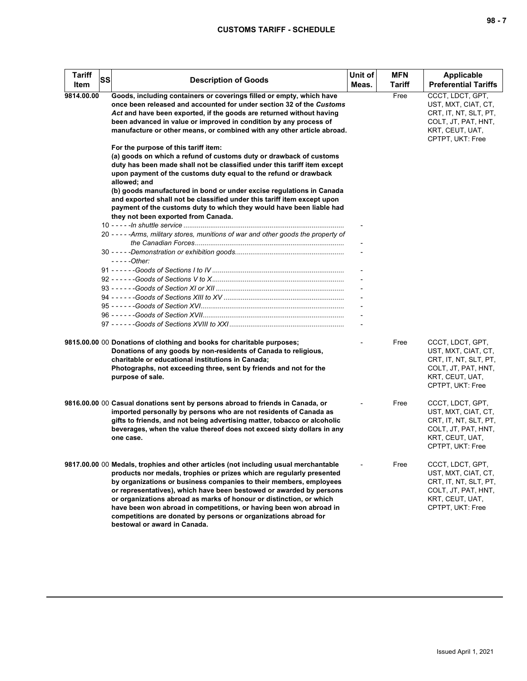| <b>Tariff</b><br>Item | SS | <b>Description of Goods</b>                                                                                                                                                                                                                                                                                                                                                                                                                                                                                                                               | Unit of<br>Meas. | <b>MFN</b><br>Tariff | <b>Applicable</b><br><b>Preferential Tariffs</b>                                                                               |
|-----------------------|----|-----------------------------------------------------------------------------------------------------------------------------------------------------------------------------------------------------------------------------------------------------------------------------------------------------------------------------------------------------------------------------------------------------------------------------------------------------------------------------------------------------------------------------------------------------------|------------------|----------------------|--------------------------------------------------------------------------------------------------------------------------------|
| 9814.00.00            |    | Goods, including containers or coverings filled or empty, which have<br>once been released and accounted for under section 32 of the Customs<br>Act and have been exported, if the goods are returned without having<br>been advanced in value or improved in condition by any process of<br>manufacture or other means, or combined with any other article abroad.                                                                                                                                                                                       |                  | Free                 | CCCT. LDCT. GPT.<br>UST, MXT, CIAT, CT,<br>CRT, IT, NT, SLT, PT,<br>COLT, JT, PAT, HNT,<br>KRT, CEUT, UAT,<br>CPTPT, UKT: Free |
|                       |    | For the purpose of this tariff item:<br>(a) goods on which a refund of customs duty or drawback of customs<br>duty has been made shall not be classified under this tariff item except<br>upon payment of the customs duty equal to the refund or drawback<br>allowed; and<br>(b) goods manufactured in bond or under excise regulations in Canada<br>and exported shall not be classified under this tariff item except upon<br>payment of the customs duty to which they would have been liable had<br>they not been exported from Canada.              |                  |                      |                                                                                                                                |
|                       |    | 20 - - - - - Arms, military stores, munitions of war and other goods the property of<br>- - - - - Other:                                                                                                                                                                                                                                                                                                                                                                                                                                                  |                  |                      |                                                                                                                                |
|                       |    |                                                                                                                                                                                                                                                                                                                                                                                                                                                                                                                                                           |                  |                      |                                                                                                                                |
|                       |    |                                                                                                                                                                                                                                                                                                                                                                                                                                                                                                                                                           |                  |                      |                                                                                                                                |
|                       |    | 9815.00.00 00 Donations of clothing and books for charitable purposes;<br>Donations of any goods by non-residents of Canada to religious,<br>charitable or educational institutions in Canada;<br>Photographs, not exceeding three, sent by friends and not for the<br>purpose of sale.                                                                                                                                                                                                                                                                   |                  | Free                 | CCCT, LDCT, GPT,<br>UST, MXT, CIAT, CT,<br>CRT, IT, NT, SLT, PT,<br>COLT, JT, PAT, HNT,<br>KRT, CEUT, UAT,<br>CPTPT, UKT: Free |
|                       |    | 9816.00.00 00 Casual donations sent by persons abroad to friends in Canada, or<br>imported personally by persons who are not residents of Canada as<br>gifts to friends, and not being advertising matter, tobacco or alcoholic<br>beverages, when the value thereof does not exceed sixty dollars in any<br>one case.                                                                                                                                                                                                                                    |                  | Free                 | CCCT, LDCT, GPT,<br>UST, MXT, CIAT, CT,<br>CRT, IT, NT, SLT, PT,<br>COLT, JT, PAT, HNT,<br>KRT, CEUT, UAT,<br>CPTPT, UKT: Free |
|                       |    | 9817.00.00 00 Medals, trophies and other articles (not including usual merchantable<br>products nor medals, trophies or prizes which are regularly presented<br>by organizations or business companies to their members, employees<br>or representatives), which have been bestowed or awarded by persons<br>or organizations abroad as marks of honour or distinction, or which<br>have been won abroad in competitions, or having been won abroad in<br>competitions are donated by persons or organizations abroad for<br>bestowal or award in Canada. |                  | Free                 | CCCT, LDCT, GPT,<br>UST, MXT, CIAT, CT,<br>CRT, IT, NT, SLT, PT,<br>COLT, JT, PAT, HNT,<br>KRT, CEUT, UAT,<br>CPTPT, UKT: Free |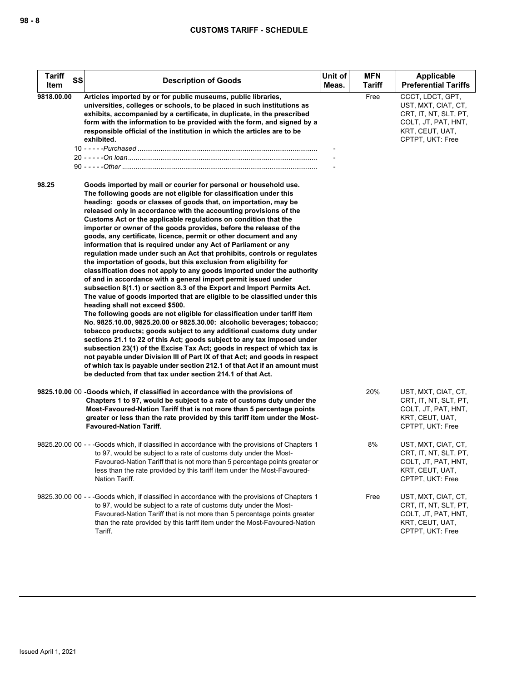| <b>Tariff</b> | SS | <b>Description of Goods</b>                                                                                                                                                                                                                                                                                                                                                                                                                                                                                                                                                                                                                                                                                                                                                                                                                                                                                                                                                                                                                                                                                                                                                                                                                                                                                                                                                                                                                                                                                                                                                                                                                                             | Unit of | <b>MFN</b> | Applicable                                                                                                                     |
|---------------|----|-------------------------------------------------------------------------------------------------------------------------------------------------------------------------------------------------------------------------------------------------------------------------------------------------------------------------------------------------------------------------------------------------------------------------------------------------------------------------------------------------------------------------------------------------------------------------------------------------------------------------------------------------------------------------------------------------------------------------------------------------------------------------------------------------------------------------------------------------------------------------------------------------------------------------------------------------------------------------------------------------------------------------------------------------------------------------------------------------------------------------------------------------------------------------------------------------------------------------------------------------------------------------------------------------------------------------------------------------------------------------------------------------------------------------------------------------------------------------------------------------------------------------------------------------------------------------------------------------------------------------------------------------------------------------|---------|------------|--------------------------------------------------------------------------------------------------------------------------------|
| Item          |    |                                                                                                                                                                                                                                                                                                                                                                                                                                                                                                                                                                                                                                                                                                                                                                                                                                                                                                                                                                                                                                                                                                                                                                                                                                                                                                                                                                                                                                                                                                                                                                                                                                                                         | Meas.   | Tariff     | <b>Preferential Tariffs</b>                                                                                                    |
| 9818.00.00    |    | Articles imported by or for public museums, public libraries,<br>universities, colleges or schools, to be placed in such institutions as<br>exhibits, accompanied by a certificate, in duplicate, in the prescribed<br>form with the information to be provided with the form, and signed by a<br>responsible official of the institution in which the articles are to be<br>exhibited.                                                                                                                                                                                                                                                                                                                                                                                                                                                                                                                                                                                                                                                                                                                                                                                                                                                                                                                                                                                                                                                                                                                                                                                                                                                                                 |         | Free       | CCCT, LDCT, GPT,<br>UST, MXT, CIAT, CT,<br>CRT, IT, NT, SLT, PT,<br>COLT, JT, PAT, HNT,<br>KRT, CEUT, UAT,<br>CPTPT, UKT: Free |
| 98.25         |    | Goods imported by mail or courier for personal or household use.<br>The following goods are not eligible for classification under this<br>heading: goods or classes of goods that, on importation, may be<br>released only in accordance with the accounting provisions of the<br>Customs Act or the applicable regulations on condition that the<br>importer or owner of the goods provides, before the release of the<br>goods, any certificate, licence, permit or other document and any<br>information that is required under any Act of Parliament or any<br>regulation made under such an Act that prohibits, controls or regulates<br>the importation of goods, but this exclusion from eligibility for<br>classification does not apply to any goods imported under the authority<br>of and in accordance with a general import permit issued under<br>subsection 8(1.1) or section 8.3 of the Export and Import Permits Act.<br>The value of goods imported that are eligible to be classified under this<br>heading shall not exceed \$500.<br>The following goods are not eligible for classification under tariff item<br>No. 9825.10.00, 9825.20.00 or 9825.30.00: alcoholic beverages; tobacco;<br>tobacco products; goods subject to any additional customs duty under<br>sections 21.1 to 22 of this Act; goods subject to any tax imposed under<br>subsection 23(1) of the Excise Tax Act; goods in respect of which tax is<br>not payable under Division III of Part IX of that Act; and goods in respect<br>of which tax is payable under section 212.1 of that Act if an amount must<br>be deducted from that tax under section 214.1 of that Act. |         |            |                                                                                                                                |
|               |    | 9825.10.00 00 -Goods which, if classified in accordance with the provisions of<br>Chapters 1 to 97, would be subject to a rate of customs duty under the<br>Most-Favoured-Nation Tariff that is not more than 5 percentage points<br>greater or less than the rate provided by this tariff item under the Most-<br><b>Favoured-Nation Tariff.</b>                                                                                                                                                                                                                                                                                                                                                                                                                                                                                                                                                                                                                                                                                                                                                                                                                                                                                                                                                                                                                                                                                                                                                                                                                                                                                                                       |         | 20%        | UST, MXT, CIAT, CT,<br>CRT, IT, NT, SLT, PT,<br>COLT, JT, PAT, HNT,<br>KRT, CEUT, UAT,<br>CPTPT, UKT: Free                     |
|               |    | 9825.20.00 00 - - -Goods which, if classified in accordance with the provisions of Chapters 1<br>to 97, would be subject to a rate of customs duty under the Most-<br>Favoured-Nation Tariff that is not more than 5 percentage points greater or<br>less than the rate provided by this tariff item under the Most-Favoured-<br>Nation Tariff.                                                                                                                                                                                                                                                                                                                                                                                                                                                                                                                                                                                                                                                                                                                                                                                                                                                                                                                                                                                                                                                                                                                                                                                                                                                                                                                         |         | 8%         | UST, MXT, CIAT, CT,<br>CRT, IT, NT, SLT, PT,<br>COLT, JT, PAT, HNT,<br>KRT, CEUT, UAT,<br>CPTPT, UKT: Free                     |
|               |    | 9825.30.00 00 - - -Goods which, if classified in accordance with the provisions of Chapters 1<br>to 97, would be subject to a rate of customs duty under the Most-<br>Favoured-Nation Tariff that is not more than 5 percentage points greater<br>than the rate provided by this tariff item under the Most-Favoured-Nation<br>Tariff.                                                                                                                                                                                                                                                                                                                                                                                                                                                                                                                                                                                                                                                                                                                                                                                                                                                                                                                                                                                                                                                                                                                                                                                                                                                                                                                                  |         | Free       | UST, MXT, CIAT, CT,<br>CRT, IT, NT, SLT, PT,<br>COLT, JT, PAT, HNT,<br>KRT, CEUT, UAT,<br>CPTPT, UKT: Free                     |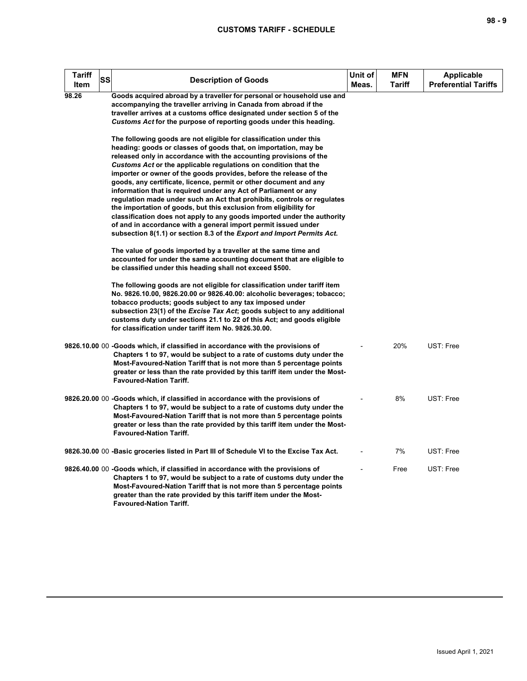| Tariff<br>ltem | <b>SS</b> | <b>Description of Goods</b>                                                                                                                                                                                                                                                                                                                                                                                                                                                                                                                                                                                                                                                                                                                                                                                                                                        | Unit of<br>Meas. | <b>MFN</b><br>Tariff | <b>Applicable</b><br><b>Preferential Tariffs</b> |
|----------------|-----------|--------------------------------------------------------------------------------------------------------------------------------------------------------------------------------------------------------------------------------------------------------------------------------------------------------------------------------------------------------------------------------------------------------------------------------------------------------------------------------------------------------------------------------------------------------------------------------------------------------------------------------------------------------------------------------------------------------------------------------------------------------------------------------------------------------------------------------------------------------------------|------------------|----------------------|--------------------------------------------------|
| 98.26          |           | Goods acquired abroad by a traveller for personal or household use and<br>accompanying the traveller arriving in Canada from abroad if the<br>traveller arrives at a customs office designated under section 5 of the<br>Customs Act for the purpose of reporting goods under this heading.                                                                                                                                                                                                                                                                                                                                                                                                                                                                                                                                                                        |                  |                      |                                                  |
|                |           | The following goods are not eligible for classification under this<br>heading: goods or classes of goods that, on importation, may be<br>released only in accordance with the accounting provisions of the<br>Customs Act or the applicable regulations on condition that the<br>importer or owner of the goods provides, before the release of the<br>goods, any certificate, licence, permit or other document and any<br>information that is required under any Act of Parliament or any<br>regulation made under such an Act that prohibits, controls or regulates<br>the importation of goods, but this exclusion from eligibility for<br>classification does not apply to any goods imported under the authority<br>of and in accordance with a general import permit issued under<br>subsection 8(1.1) or section 8.3 of the Export and Import Permits Act. |                  |                      |                                                  |
|                |           | The value of goods imported by a traveller at the same time and<br>accounted for under the same accounting document that are eligible to<br>be classified under this heading shall not exceed \$500.                                                                                                                                                                                                                                                                                                                                                                                                                                                                                                                                                                                                                                                               |                  |                      |                                                  |
|                |           | The following goods are not eligible for classification under tariff item<br>No. 9826.10.00, 9826.20.00 or 9826.40.00: alcoholic beverages; tobacco;<br>tobacco products; goods subject to any tax imposed under<br>subsection 23(1) of the Excise Tax Act; goods subject to any additional<br>customs duty under sections 21.1 to 22 of this Act; and goods eligible<br>for classification under tariff item No. 9826.30.00.                                                                                                                                                                                                                                                                                                                                                                                                                                      |                  |                      |                                                  |
|                |           | 9826.10.00 00 -Goods which, if classified in accordance with the provisions of<br>Chapters 1 to 97, would be subject to a rate of customs duty under the<br>Most-Favoured-Nation Tariff that is not more than 5 percentage points<br>greater or less than the rate provided by this tariff item under the Most-<br><b>Favoured-Nation Tariff.</b>                                                                                                                                                                                                                                                                                                                                                                                                                                                                                                                  |                  | 20%                  | UST: Free                                        |
|                |           | 9826.20.00 00 -Goods which, if classified in accordance with the provisions of<br>Chapters 1 to 97, would be subject to a rate of customs duty under the<br>Most-Favoured-Nation Tariff that is not more than 5 percentage points<br>greater or less than the rate provided by this tariff item under the Most-<br><b>Favoured-Nation Tariff.</b>                                                                                                                                                                                                                                                                                                                                                                                                                                                                                                                  |                  | 8%                   | UST: Free                                        |
|                |           | 9826.30.00 00 -Basic groceries listed in Part III of Schedule VI to the Excise Tax Act.                                                                                                                                                                                                                                                                                                                                                                                                                                                                                                                                                                                                                                                                                                                                                                            |                  | 7%                   | UST: Free                                        |
|                |           | 9826.40.00 00 -Goods which, if classified in accordance with the provisions of<br>Chapters 1 to 97, would be subject to a rate of customs duty under the<br>Most-Favoured-Nation Tariff that is not more than 5 percentage points<br>greater than the rate provided by this tariff item under the Most-<br><b>Favoured-Nation Tariff.</b>                                                                                                                                                                                                                                                                                                                                                                                                                                                                                                                          |                  | Free                 | UST: Free                                        |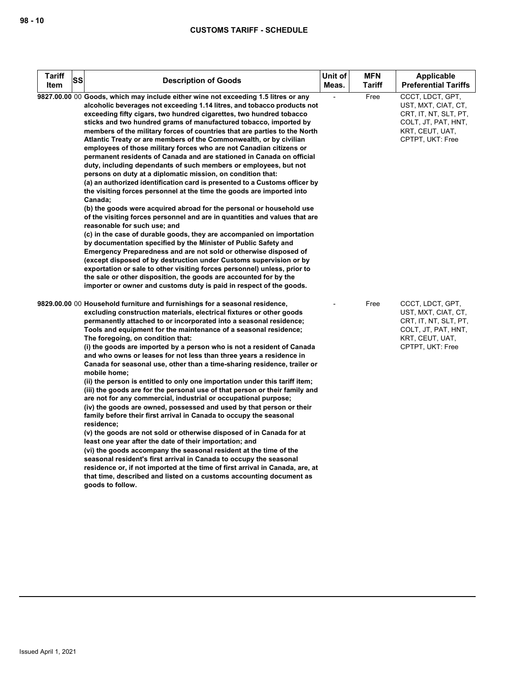| <b>Tariff</b><br>ltem | SS | <b>Description of Goods</b>                                                                                                                                                                                                                                                                                                                                                                                                                                                                                                                                                                                                                                                                                                                                                                                                                                                                                                                                                                                                                                                                                                                                                                                                                                                                                                                                                                                                                                                                                                                                                                                           | Unit of<br>Meas. | <b>MFN</b><br><b>Tariff</b> | <b>Applicable</b><br><b>Preferential Tariffs</b>                                                                               |
|-----------------------|----|-----------------------------------------------------------------------------------------------------------------------------------------------------------------------------------------------------------------------------------------------------------------------------------------------------------------------------------------------------------------------------------------------------------------------------------------------------------------------------------------------------------------------------------------------------------------------------------------------------------------------------------------------------------------------------------------------------------------------------------------------------------------------------------------------------------------------------------------------------------------------------------------------------------------------------------------------------------------------------------------------------------------------------------------------------------------------------------------------------------------------------------------------------------------------------------------------------------------------------------------------------------------------------------------------------------------------------------------------------------------------------------------------------------------------------------------------------------------------------------------------------------------------------------------------------------------------------------------------------------------------|------------------|-----------------------------|--------------------------------------------------------------------------------------------------------------------------------|
|                       |    | 9827.00.00 00 Goods, which may include either wine not exceeding 1.5 litres or any<br>alcoholic beverages not exceeding 1.14 litres, and tobacco products not<br>exceeding fifty cigars, two hundred cigarettes, two hundred tobacco<br>sticks and two hundred grams of manufactured tobacco, imported by<br>members of the military forces of countries that are parties to the North<br>Atlantic Treaty or are members of the Commonwealth, or by civilian<br>employees of those military forces who are not Canadian citizens or<br>permanent residents of Canada and are stationed in Canada on official<br>duty, including dependants of such members or employees, but not<br>persons on duty at a diplomatic mission, on condition that:<br>(a) an authorized identification card is presented to a Customs officer by<br>the visiting forces personnel at the time the goods are imported into<br>Canada;<br>(b) the goods were acquired abroad for the personal or household use<br>of the visiting forces personnel and are in quantities and values that are<br>reasonable for such use; and<br>(c) in the case of durable goods, they are accompanied on importation<br>by documentation specified by the Minister of Public Safety and<br>Emergency Preparedness and are not sold or otherwise disposed of<br>(except disposed of by destruction under Customs supervision or by<br>exportation or sale to other visiting forces personnel) unless, prior to<br>the sale or other disposition, the goods are accounted for by the<br>importer or owner and customs duty is paid in respect of the goods. |                  | Free                        | CCCT, LDCT, GPT,<br>UST, MXT, CIAT, CT,<br>CRT, IT, NT, SLT, PT,<br>COLT, JT, PAT, HNT,<br>KRT, CEUT, UAT,<br>CPTPT, UKT: Free |
|                       |    | 9829.00.00 00 Household furniture and furnishings for a seasonal residence,<br>excluding construction materials, electrical fixtures or other goods<br>permanently attached to or incorporated into a seasonal residence;<br>Tools and equipment for the maintenance of a seasonal residence;<br>The foregoing, on condition that:<br>(i) the goods are imported by a person who is not a resident of Canada<br>and who owns or leases for not less than three years a residence in<br>Canada for seasonal use, other than a time-sharing residence, trailer or<br>mobile home:<br>(ii) the person is entitled to only one importation under this tariff item;<br>(iii) the goods are for the personal use of that person or their family and<br>are not for any commercial, industrial or occupational purpose;<br>(iv) the goods are owned, possessed and used by that person or their<br>family before their first arrival in Canada to occupy the seasonal<br>residence;<br>(v) the goods are not sold or otherwise disposed of in Canada for at<br>least one year after the date of their importation; and<br>(vi) the goods accompany the seasonal resident at the time of the<br>seasonal resident's first arrival in Canada to occupy the seasonal<br>residence or, if not imported at the time of first arrival in Canada, are, at<br>that time, described and listed on a customs accounting document as<br>goods to follow.                                                                                                                                                                                |                  | Free                        | CCCT, LDCT, GPT,<br>UST, MXT, CIAT, CT,<br>CRT, IT, NT, SLT, PT,<br>COLT, JT, PAT, HNT,<br>KRT, CEUT, UAT,<br>CPTPT, UKT: Free |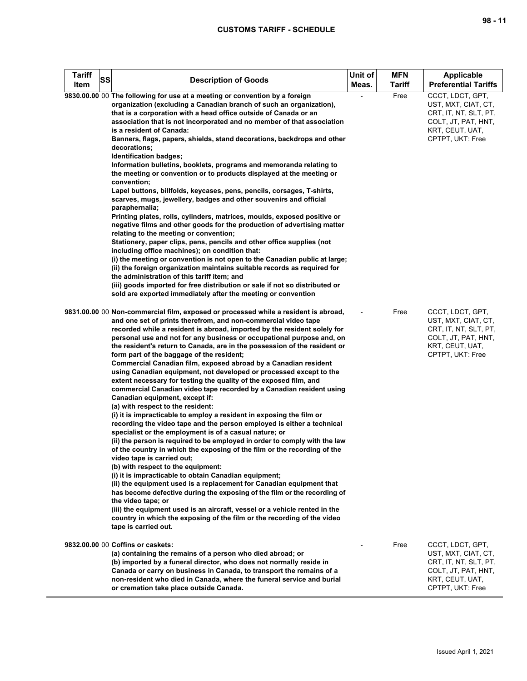| <b>Tariff</b><br>Item | SS | <b>Description of Goods</b>                                                                                                                                                                                                                                                                                                                                                                                                                                                                                                                                                                                                                                                                                                                                                                                                                                | Unit of<br>Meas. | <b>MFN</b><br>Tariff | Applicable<br><b>Preferential Tariffs</b>                                                                                      |
|-----------------------|----|------------------------------------------------------------------------------------------------------------------------------------------------------------------------------------------------------------------------------------------------------------------------------------------------------------------------------------------------------------------------------------------------------------------------------------------------------------------------------------------------------------------------------------------------------------------------------------------------------------------------------------------------------------------------------------------------------------------------------------------------------------------------------------------------------------------------------------------------------------|------------------|----------------------|--------------------------------------------------------------------------------------------------------------------------------|
|                       |    | 9830.00.00 00 The following for use at a meeting or convention by a foreign<br>organization (excluding a Canadian branch of such an organization),<br>that is a corporation with a head office outside of Canada or an<br>association that is not incorporated and no member of that association<br>is a resident of Canada:<br>Banners, flags, papers, shields, stand decorations, backdrops and other                                                                                                                                                                                                                                                                                                                                                                                                                                                    |                  | Free                 | CCCT, LDCT, GPT,<br>UST, MXT, CIAT, CT,<br>CRT, IT, NT, SLT, PT,<br>COLT, JT, PAT, HNT,<br>KRT, CEUT, UAT,<br>CPTPT, UKT: Free |
|                       |    | decorations;<br>Identification badges;<br>Information bulletins, booklets, programs and memoranda relating to<br>the meeting or convention or to products displayed at the meeting or<br>convention;<br>Lapel buttons, billfolds, keycases, pens, pencils, corsages, T-shirts,                                                                                                                                                                                                                                                                                                                                                                                                                                                                                                                                                                             |                  |                      |                                                                                                                                |
|                       |    | scarves, mugs, jewellery, badges and other souvenirs and official<br>paraphernalia;<br>Printing plates, rolls, cylinders, matrices, moulds, exposed positive or<br>negative films and other goods for the production of advertising matter<br>relating to the meeting or convention;<br>Stationery, paper clips, pens, pencils and other office supplies (not                                                                                                                                                                                                                                                                                                                                                                                                                                                                                              |                  |                      |                                                                                                                                |
|                       |    | including office machines); on condition that:<br>(i) the meeting or convention is not open to the Canadian public at large;<br>(ii) the foreign organization maintains suitable records as required for<br>the administration of this tariff item; and<br>(iii) goods imported for free distribution or sale if not so distributed or<br>sold are exported immediately after the meeting or convention                                                                                                                                                                                                                                                                                                                                                                                                                                                    |                  |                      |                                                                                                                                |
|                       |    | 9831.00.00 00 Non-commercial film, exposed or processed while a resident is abroad,<br>and one set of prints therefrom, and non-commercial video tape<br>recorded while a resident is abroad, imported by the resident solely for<br>personal use and not for any business or occupational purpose and, on<br>the resident's return to Canada, are in the possession of the resident or<br>form part of the baggage of the resident;<br>Commercial Canadian film, exposed abroad by a Canadian resident<br>using Canadian equipment, not developed or processed except to the<br>extent necessary for testing the quality of the exposed film, and<br>commercial Canadian video tape recorded by a Canadian resident using<br>Canadian equipment, except if:<br>(a) with respect to the resident:                                                          |                  | Free                 | CCCT, LDCT, GPT,<br>UST, MXT, CIAT, CT,<br>CRT, IT, NT, SLT, PT,<br>COLT, JT, PAT, HNT,<br>KRT, CEUT, UAT,<br>CPTPT, UKT: Free |
|                       |    | (i) it is impracticable to employ a resident in exposing the film or<br>recording the video tape and the person employed is either a technical<br>specialist or the employment is of a casual nature; or<br>(ii) the person is required to be employed in order to comply with the law<br>of the country in which the exposing of the film or the recording of the<br>video tape is carried out;<br>(b) with respect to the equipment:<br>(i) it is impracticable to obtain Canadian equipment;<br>(ii) the equipment used is a replacement for Canadian equipment that<br>has become defective during the exposing of the film or the recording of<br>the video tape; or<br>(iii) the equipment used is an aircraft, vessel or a vehicle rented in the<br>country in which the exposing of the film or the recording of the video<br>tape is carried out. |                  |                      |                                                                                                                                |
|                       |    | 9832.00.00 00 Coffins or caskets:<br>(a) containing the remains of a person who died abroad; or<br>(b) imported by a funeral director, who does not normally reside in<br>Canada or carry on business in Canada, to transport the remains of a<br>non-resident who died in Canada, where the funeral service and burial<br>or cremation take place outside Canada.                                                                                                                                                                                                                                                                                                                                                                                                                                                                                         |                  | Free                 | CCCT, LDCT, GPT,<br>UST, MXT, CIAT, CT,<br>CRT, IT, NT, SLT, PT,<br>COLT, JT, PAT, HNT,<br>KRT, CEUT, UAT,<br>CPTPT, UKT: Free |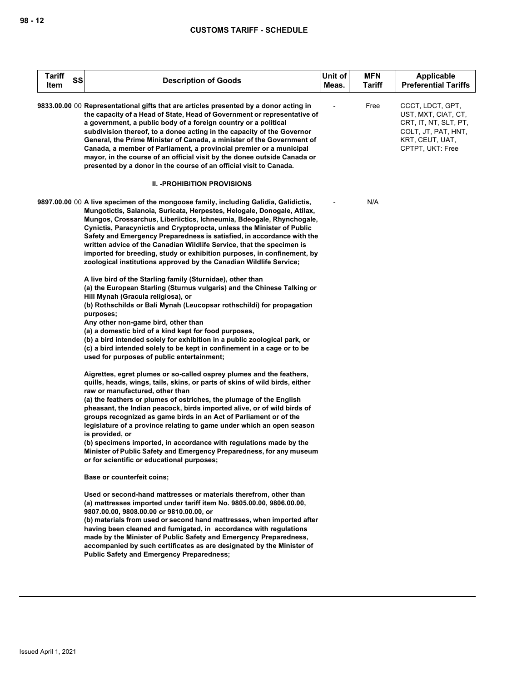| Tariff<br>ltem | <b>SS</b> | <b>Description of Goods</b>                                                                                                                                                                                                                                                                                                                                                                                                                                                                                                                                                                                                                                                                           | Unit of<br>Meas. | <b>MFN</b><br><b>Tariff</b> | <b>Applicable</b><br><b>Preferential Tariffs</b>                                                                               |
|----------------|-----------|-------------------------------------------------------------------------------------------------------------------------------------------------------------------------------------------------------------------------------------------------------------------------------------------------------------------------------------------------------------------------------------------------------------------------------------------------------------------------------------------------------------------------------------------------------------------------------------------------------------------------------------------------------------------------------------------------------|------------------|-----------------------------|--------------------------------------------------------------------------------------------------------------------------------|
|                |           | 9833.00.00 00 Representational gifts that are articles presented by a donor acting in<br>the capacity of a Head of State, Head of Government or representative of<br>a government, a public body of a foreign country or a political<br>subdivision thereof, to a donee acting in the capacity of the Governor<br>General, the Prime Minister of Canada, a minister of the Government of<br>Canada, a member of Parliament, a provincial premier or a municipal<br>mayor, in the course of an official visit by the donee outside Canada or<br>presented by a donor in the course of an official visit to Canada.                                                                                     |                  | Free                        | CCCT, LDCT, GPT,<br>UST, MXT, CIAT, CT,<br>CRT, IT, NT, SLT, PT,<br>COLT, JT, PAT, HNT,<br>KRT, CEUT, UAT,<br>CPTPT, UKT: Free |
|                |           | II. - PROHIBITION PROVISIONS                                                                                                                                                                                                                                                                                                                                                                                                                                                                                                                                                                                                                                                                          |                  |                             |                                                                                                                                |
|                |           | 9897.00.00 00 A live specimen of the mongoose family, including Galidia, Galidictis,<br>Mungotictis, Salanoia, Suricata, Herpestes, Helogale, Donogale, Atilax,<br>Mungos, Crossarchus, Liberiictics, Ichneumia, Bdeogale, Rhynchogale,<br>Cynictis, Paracynictis and Cryptoprocta, unless the Minister of Public<br>Safety and Emergency Preparedness is satisfied, in accordance with the<br>written advice of the Canadian Wildlife Service, that the specimen is<br>imported for breeding, study or exhibition purposes, in confinement, by<br>zoological institutions approved by the Canadian Wildlife Service;                                                                                 |                  | N/A                         |                                                                                                                                |
|                |           | A live bird of the Starling family (Sturnidae), other than<br>(a) the European Starling (Sturnus vulgaris) and the Chinese Talking or<br>Hill Mynah (Gracula religiosa), or<br>(b) Rothschilds or Bali Mynah (Leucopsar rothschildi) for propagation<br>purposes;<br>Any other non-game bird, other than<br>(a) a domestic bird of a kind kept for food purposes,<br>(b) a bird intended solely for exhibition in a public zoological park, or<br>(c) a bird intended solely to be kept in confinement in a cage or to be<br>used for purposes of public entertainment;                                                                                                                               |                  |                             |                                                                                                                                |
|                |           | Aigrettes, egret plumes or so-called osprey plumes and the feathers,<br>quills, heads, wings, tails, skins, or parts of skins of wild birds, either<br>raw or manufactured, other than<br>(a) the feathers or plumes of ostriches, the plumage of the English<br>pheasant, the Indian peacock, birds imported alive, or of wild birds of<br>groups recognized as game birds in an Act of Parliament or of the<br>legislature of a province relating to game under which an open season<br>is provided, or<br>(b) specimens imported, in accordance with regulations made by the<br>Minister of Public Safety and Emergency Preparedness, for any museum<br>or for scientific or educational purposes; |                  |                             |                                                                                                                                |
|                |           | <b>Base or counterfeit coins:</b>                                                                                                                                                                                                                                                                                                                                                                                                                                                                                                                                                                                                                                                                     |                  |                             |                                                                                                                                |
|                |           | Used or second-hand mattresses or materials therefrom, other than<br>(a) mattresses imported under tariff item No. 9805.00.00, 9806.00.00,<br>9807.00.00, 9808.00.00 or 9810.00.00, or<br>(b) materials from used or second hand mattresses, when imported after<br>having been cleaned and fumigated, in accordance with regulations<br>made by the Minister of Public Safety and Emergency Preparedness,<br>accompanied by such certificates as are designated by the Minister of<br><b>Public Safety and Emergency Preparedness;</b>                                                                                                                                                               |                  |                             |                                                                                                                                |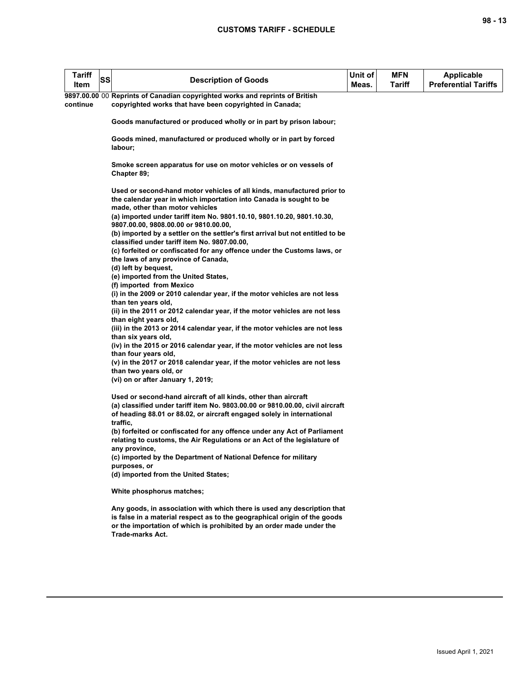| <b>Tariff</b><br>ltem | <b>SS</b> | <b>Description of Goods</b>                                                                                                                                                     | Unit of<br>Meas. | MFN.<br>Tariff | Applicable<br><b>Preferential Tariffs</b> |
|-----------------------|-----------|---------------------------------------------------------------------------------------------------------------------------------------------------------------------------------|------------------|----------------|-------------------------------------------|
|                       |           | 9897.00.00 00 Reprints of Canadian copyrighted works and reprints of British                                                                                                    |                  |                |                                           |
| continue              |           | copyrighted works that have been copyrighted in Canada;                                                                                                                         |                  |                |                                           |
|                       |           | Goods manufactured or produced wholly or in part by prison labour;                                                                                                              |                  |                |                                           |
|                       |           | Goods mined, manufactured or produced wholly or in part by forced<br>labour;                                                                                                    |                  |                |                                           |
|                       |           | Smoke screen apparatus for use on motor vehicles or on vessels of<br>Chapter 89;                                                                                                |                  |                |                                           |
|                       |           | Used or second-hand motor vehicles of all kinds, manufactured prior to<br>the calendar year in which importation into Canada is sought to be<br>made, other than motor vehicles |                  |                |                                           |
|                       |           | (a) imported under tariff item No. 9801.10.10, 9801.10.20, 9801.10.30,<br>9807.00.00, 9808.00.00 or 9810.00.00,                                                                 |                  |                |                                           |
|                       |           | (b) imported by a settler on the settler's first arrival but not entitled to be<br>classified under tariff item No. 9807.00.00,                                                 |                  |                |                                           |
|                       |           | (c) forfeited or confiscated for any offence under the Customs laws, or<br>the laws of any province of Canada,                                                                  |                  |                |                                           |
|                       |           | (d) left by bequest,                                                                                                                                                            |                  |                |                                           |
|                       |           | (e) imported from the United States,                                                                                                                                            |                  |                |                                           |
|                       |           | (f) imported from Mexico<br>(i) in the 2009 or 2010 calendar year, if the motor vehicles are not less                                                                           |                  |                |                                           |
|                       |           | than ten years old,                                                                                                                                                             |                  |                |                                           |
|                       |           | (ii) in the 2011 or 2012 calendar year, if the motor vehicles are not less                                                                                                      |                  |                |                                           |
|                       |           | than eight years old,                                                                                                                                                           |                  |                |                                           |
|                       |           | (iii) in the 2013 or 2014 calendar year, if the motor vehicles are not less                                                                                                     |                  |                |                                           |
|                       |           | than six years old,                                                                                                                                                             |                  |                |                                           |
|                       |           | (iv) in the 2015 or 2016 calendar year, if the motor vehicles are not less<br>than four years old,                                                                              |                  |                |                                           |
|                       |           | (v) in the 2017 or 2018 calendar year, if the motor vehicles are not less                                                                                                       |                  |                |                                           |
|                       |           | than two years old, or                                                                                                                                                          |                  |                |                                           |
|                       |           | (vi) on or after January 1, 2019;                                                                                                                                               |                  |                |                                           |
|                       |           |                                                                                                                                                                                 |                  |                |                                           |
|                       |           | Used or second-hand aircraft of all kinds, other than aircraft<br>(a) classified under tariff item No. 9803.00.00 or 9810.00.00, civil aircraft                                 |                  |                |                                           |
|                       |           | of heading 88.01 or 88.02, or aircraft engaged solely in international                                                                                                          |                  |                |                                           |
|                       |           | traffic,                                                                                                                                                                        |                  |                |                                           |
|                       |           | (b) forfeited or confiscated for any offence under any Act of Parliament                                                                                                        |                  |                |                                           |
|                       |           | relating to customs, the Air Regulations or an Act of the legislature of                                                                                                        |                  |                |                                           |
|                       |           | any province,<br>(c) imported by the Department of National Defence for military                                                                                                |                  |                |                                           |
|                       |           | purposes, or                                                                                                                                                                    |                  |                |                                           |
|                       |           | (d) imported from the United States;                                                                                                                                            |                  |                |                                           |
|                       |           | White phosphorus matches;                                                                                                                                                       |                  |                |                                           |
|                       |           | Any goods, in association with which there is used any description that                                                                                                         |                  |                |                                           |
|                       |           | is false in a material respect as to the geographical origin of the goods                                                                                                       |                  |                |                                           |
|                       |           | or the importation of which is prohibited by an order made under the                                                                                                            |                  |                |                                           |

**Trade-marks Act.**

**98 - 13**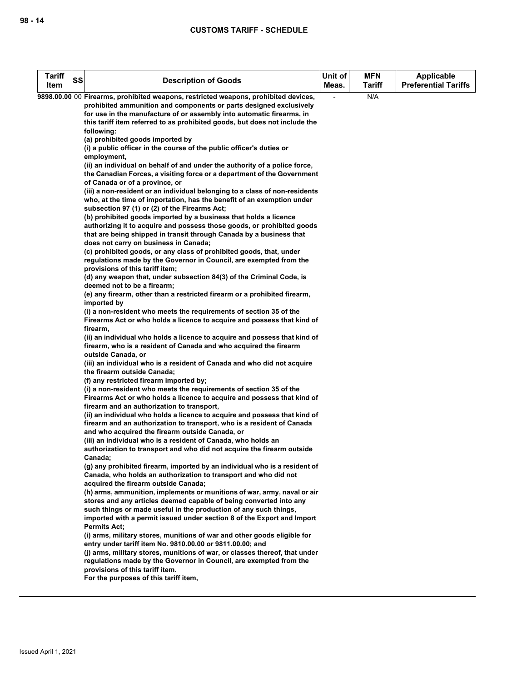| <b>Tariff</b><br>Item | SS | <b>Description of Goods</b>                                                                                                                                                                                                                                                                                                                                                                                                                                                                                                             | Unit of<br>Meas. | <b>MFN</b><br><b>Tariff</b> | <b>Applicable</b><br><b>Preferential Tariffs</b> |
|-----------------------|----|-----------------------------------------------------------------------------------------------------------------------------------------------------------------------------------------------------------------------------------------------------------------------------------------------------------------------------------------------------------------------------------------------------------------------------------------------------------------------------------------------------------------------------------------|------------------|-----------------------------|--------------------------------------------------|
|                       |    | 9898.00.00 00 Firearms, prohibited weapons, restricted weapons, prohibited devices,<br>prohibited ammunition and components or parts designed exclusively<br>for use in the manufacture of or assembly into automatic firearms, in<br>this tariff item referred to as prohibited goods, but does not include the<br>following:<br>(a) prohibited goods imported by<br>(i) a public officer in the course of the public officer's duties or<br>employment,<br>(ii) an individual on behalf of and under the authority of a police force, |                  | N/A                         |                                                  |
|                       |    | the Canadian Forces, a visiting force or a department of the Government<br>of Canada or of a province, or<br>(iii) a non-resident or an individual belonging to a class of non-residents<br>who, at the time of importation, has the benefit of an exemption under<br>subsection 97 (1) or (2) of the Firearms Act;                                                                                                                                                                                                                     |                  |                             |                                                  |
|                       |    | (b) prohibited goods imported by a business that holds a licence<br>authorizing it to acquire and possess those goods, or prohibited goods<br>that are being shipped in transit through Canada by a business that<br>does not carry on business in Canada;<br>(c) prohibited goods, or any class of prohibited goods, that, under                                                                                                                                                                                                       |                  |                             |                                                  |
|                       |    | regulations made by the Governor in Council, are exempted from the<br>provisions of this tariff item;<br>(d) any weapon that, under subsection 84(3) of the Criminal Code, is<br>deemed not to be a firearm;<br>(e) any firearm, other than a restricted firearm or a prohibited firearm,                                                                                                                                                                                                                                               |                  |                             |                                                  |
|                       |    | imported by<br>(i) a non-resident who meets the requirements of section 35 of the<br>Firearms Act or who holds a licence to acquire and possess that kind of<br>firearm,<br>(ii) an individual who holds a licence to acquire and possess that kind of<br>firearm, who is a resident of Canada and who acquired the firearm                                                                                                                                                                                                             |                  |                             |                                                  |
|                       |    | outside Canada, or<br>(iii) an individual who is a resident of Canada and who did not acquire<br>the firearm outside Canada;<br>(f) any restricted firearm imported by;                                                                                                                                                                                                                                                                                                                                                                 |                  |                             |                                                  |
|                       |    | (i) a non-resident who meets the requirements of section 35 of the<br>Firearms Act or who holds a licence to acquire and possess that kind of<br>firearm and an authorization to transport,<br>(ii) an individual who holds a licence to acquire and possess that kind of<br>firearm and an authorization to transport, who is a resident of Canada                                                                                                                                                                                     |                  |                             |                                                  |
|                       |    | and who acquired the firearm outside Canada, or<br>(iii) an individual who is a resident of Canada, who holds an<br>authorization to transport and who did not acquire the firearm outside<br>Canada;<br>(g) any prohibited firearm, imported by an individual who is a resident of                                                                                                                                                                                                                                                     |                  |                             |                                                  |
|                       |    | Canada, who holds an authorization to transport and who did not<br>acquired the firearm outside Canada;<br>(h) arms, ammunition, implements or munitions of war, army, naval or air<br>stores and any articles deemed capable of being converted into any<br>such things or made useful in the production of any such things,                                                                                                                                                                                                           |                  |                             |                                                  |
|                       |    | imported with a permit issued under section 8 of the Export and Import<br><b>Permits Act:</b><br>(i) arms, military stores, munitions of war and other goods eligible for<br>entry under tariff item No. 9810.00.00 or 9811.00.00; and                                                                                                                                                                                                                                                                                                  |                  |                             |                                                  |
|                       |    | (j) arms, military stores, munitions of war, or classes thereof, that under<br>regulations made by the Governor in Council, are exempted from the<br>provisions of this tariff item.<br>For the purposes of this tariff item,                                                                                                                                                                                                                                                                                                           |                  |                             |                                                  |